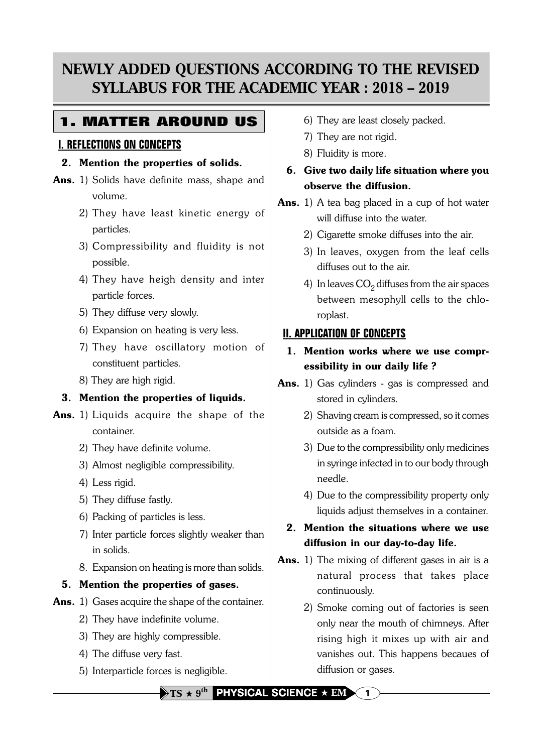# **NEWLY ADDED QUESTIONS ACCORDING TO THE REVISED SYLLABUS FOR THE ACADEMIC YEAR : 2018 – 2019**

## **1. MATTER AROUND US**

### **I. REFLECTIONS ON CONCEPTS**

#### 2. Mention the properties of solids.

- Ans. 1) Solids have definite mass, shape and volume.
	- 2) They have least kinetic energy of particles.
	- 3) Compressibility and fluidity is not possible.
	- 4) They have heigh density and inter particle forces.
	- 5) They diffuse very slowly.
	- 6) Expansion on heating is very less.
	- 7) They have oscillatory motion of constituent particles.
	- 8) They are high rigid.

## 3. Mention the properties of liquids.

- Ans. 1) Liquids acquire the shape of the container.
	- 2) They have definite volume.
	- 3) Almost negligible compressibility.
	- 4) Less rigid.
	- 5) They diffuse fastly.
	- 6) Packing of particles is less.
	- 7) Inter particle forces slightly weaker than in solids.
	- 8. Expansion on heating is more than solids.

## 5. Mention the properties of gases.

- Ans. 1) Gases acquire the shape of the container.
	- 2) They have indefinite volume.
	- 3) They are highly compressible.
	- 4) The diffuse very fast.
	- 5) Interparticle forces is negligible.
- 6) They are least closely packed.
- 7) They are not rigid.
- 8) Fluidity is more.
- 6. Give two daily life situation where you observe the diffusion.
- Ans. 1) A tea bag placed in a cup of hot water will diffuse into the water.
	- 2) Cigarette smoke diffuses into the air.
	- 3) In leaves, oxygen from the leaf cells diffuses out to the air.
	- 4) In leaves  $CO<sub>2</sub>$  diffuses from the air spaces between mesophyll cells to the chloroplast.

## **II. APPLICATION OF CONCEPTS**

- 1. Mention works where we use compressibility in our daily life ?
- Ans. 1) Gas cylinders gas is compressed and stored in cylinders.
	- 2) Shaving cream is compressed, so it comes outside as a foam.
	- 3) Due to the compressibility only medicines in syringe infected in to our body through needle.
	- 4) Due to the compressibility property only liquids adjust themselves in a container.
	- 2. Mention the situations where we use diffusion in our day-to-day life.
- Ans. 1) The mixing of different gases in air is a natural process that takes place continuously.
	- 2) Smoke coming out of factories is seen only near the mouth of chimneys. After rising high it mixes up with air and vanishes out. This happens becaues of diffusion or gases.

 $\rightarrow$  TS  $\star$  9<sup>th</sup> PHYSICAL SCIENCE  $\star$  EM  $\setminus$  1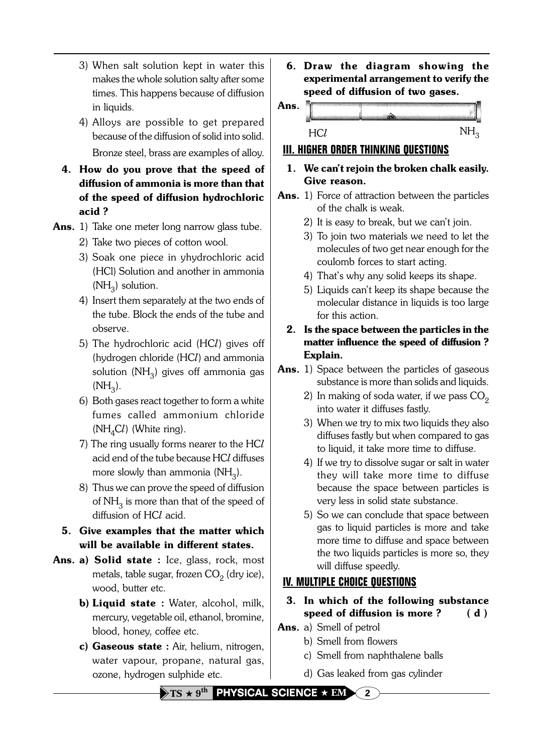- 3) When salt solution kept in water this makes the whole solution salty after some times. This happens because of diffusion in liquids.
- 4) Alloys are possible to get prepared because of the diffusion of solid into solid. Bronze steel, brass are examples of alloy.
- 4. How do you prove that the speed of diffusion of ammonia is more than that of the speed of diffusion hydrochloric acid ?
- Ans. 1) Take one meter long narrow glass tube.
	- 2) Take two pieces of cotton wool.
	- 3) Soak one piece in yhydrochloric acid (HCl) Solution and another in ammonia  $(NH<sub>2</sub>)$  solution.
	- 4) Insert them separately at the two ends of the tube. Block the ends of the tube and observe.
	- 5) The hydrochloric acid (HC) gives off (hydrogen chloride (HCl) and ammonia solution  $(NH_2)$  gives off ammonia gas  $(NH_3)$ .
	- 6) Both gases react together to form a white fumes called ammonium chloride ( $NH<sub>4</sub>Cl$ ) (White ring).
	- 7) The ring usually forms nearer to the HC acid end of the tube because HCl diffuses more slowly than ammonia  $(NH_2)$ .
	- 8) Thus we can prove the speed of diffusion of  $NH<sub>3</sub>$  is more than that of the speed of diffusion of  $HCl$  acid.
	- 5. Give examples that the matter which will be available in different states.
- Ans. a) Solid state : Ice, glass, rock, most metals, table sugar, frozen  $CO<sub>2</sub>$  (dry ice), wood, butter etc.
	- **b) Liquid state :** Water, alcohol, milk, mercury, vegetable oil, ethanol, bromine, blood, honey, coffee etc.
	- c) Gaseous state : Air, helium, nitrogen, water vapour, propane, natural gas, ozone, hydrogen sulphide etc.

6. Draw the diagram showing the experimental arrangement to verify the speed of diffusion of two gases.



### **III. HIGHER ORDER THINKING QUESTIONS**

- 1. We can't rejoin the broken chalk easily. Give reason.
- Ans. 1) Force of attraction between the particles of the chalk is weak.
	- 2) It is easy to break, but we can't join.
	- 3) To join two materials we need to let the molecules of two get near enough for the coulomb forces to start acting.
	- 4) That's why any solid keeps its shape.
	- 5) Liquids can't keep its shape because the molecular distance in liquids is too large for this action.
	- 2. Is the space between the particles in the matter influence the speed of diffusion ? Explain.
- Ans. 1) Space between the particles of gaseous substance is more than solids and liquids.
	- 2) In making of soda water, if we pass  $CO<sub>2</sub>$ into water it diffuses fastly.
	- 3) When we try to mix two liquids they also diffuses fastly but when compared to gas to liquid, it take more time to diffuse.
	- 4) If we try to dissolve sugar or salt in water they will take more time to diffuse because the space between particles is very less in solid state substance.
	- 5) So we can conclude that space between gas to liquid particles is more and take more time to diffuse and space between the two liquids particles is more so, they will diffuse speedly.

## **IV. MULTIPLE CHOICE QUESTIONS**

- 3. In which of the following substance speed of diffusion is more ?  $(d)$
- Ans. a) Smell of petrol
	- b) Smell from flowers
	- c) Smell from naphthalene balls
	- d) Gas leaked from gas cylinder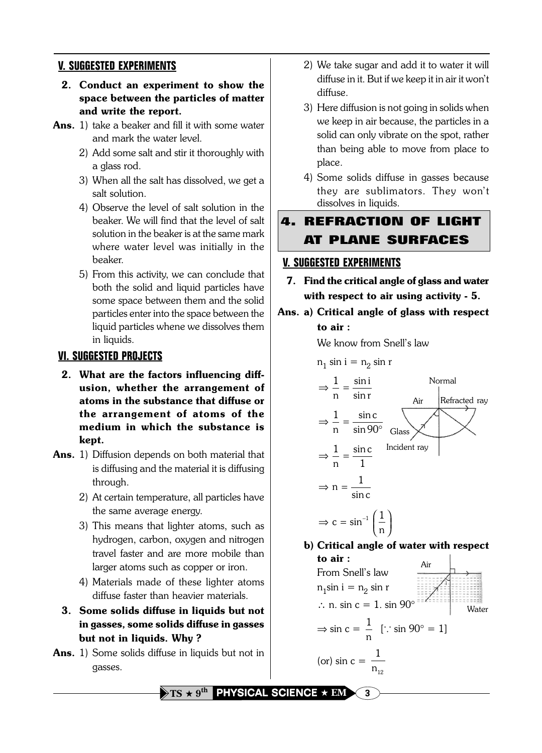### **V. SUGGESTED EXPERIMENTS**

- 2. Conduct an experiment to show the space between the particles of matter and write the report.
- Ans. 1) take a beaker and fill it with some water and mark the water level.
	- 2) Add some salt and stir it thoroughly with a glass rod.
	- 3) When all the salt has dissolved, we get a salt solution.
	- 4) Observe the level of salt solution in the beaker. We will find that the level of salt solution in the beaker is at the same mark where water level was initially in the beaker.
	- 5) From this activity, we can conclude that both the solid and liquid particles have some space between them and the solid particles enter into the space between the liquid particles whene we dissolves them in liquids.

#### **VI. SUGGESTED PROJECTS**

- 2. What are the factors influencing diffusion, whether the arrangement of atoms in the substance that diffuse or the arrangement of atoms of the medium in which the substance is kept.
- Ans. 1) Diffusion depends on both material that is diffusing and the material it is diffusing through.
	- 2) At certain temperature, all particles have the same average energy.
	- 3) This means that lighter atoms, such as hydrogen, carbon, oxygen and nitrogen travel faster and are more mobile than larger atoms such as copper or iron.
	- 4) Materials made of these lighter atoms diffuse faster than heavier materials.
	- 3. Some solids diffuse in liquids but not in gasses, some solids diffuse in gasses but not in liquids. Why ?
- Ans. 1) Some solids diffuse in liquids but not in gasses.
- 2) We take sugar and add it to water it will diffuse in it. But if we keep it in air it won't diffuse.
- 3) Here diffusion is not going in solids when we keep in air because, the particles in a solid can only vibrate on the spot, rather than being able to move from place to place.
- 4) Some solids diffuse in gasses because they are sublimators. They won't dissolves in liquids.
- **4. REFRACTION OF LIGHT AT PLANE SURFACES**

## **V. SUGGESTED EXPERIMENTS**

- 7. Find the critical angle of glass and water with respect to air using activity - 5.
- Ans. a) Critical angle of glass with respect to air :

We know from Snell's law

$$
n_1 \sin i = n_2 \sin r
$$

$$
\Rightarrow \frac{1}{n} = \frac{\sin i}{\sin r}
$$
\n
$$
\Rightarrow \frac{1}{n} = \frac{\sin c}{\sin 90^\circ}
$$
\n
$$
\Rightarrow \frac{1}{n} = \frac{\sin c}{1}
$$
\n
$$
\Rightarrow n = \frac{1}{\sin c}
$$
\n
$$
\Rightarrow c = \sin^{-1}\left(\frac{1}{n}\right)
$$
\nExample 1.11

b) Critical angle of water with respect to air :

From Snell's law  
\n
$$
n_1 \sin i = n_2 \sin r
$$
  
\n $\therefore$  n. sin c = 1. sin 90°  
\n $\Rightarrow \sin c = \frac{1}{n} [:: \sin 90^\circ = 1]$   
\n(or) sin c =  $\frac{1}{n_{12}}$ 

 $\rightarrow$  TS  $\star$  9<sup>th</sup> PHYSICAL SCIENCE  $\star$  EM  $\sim$  3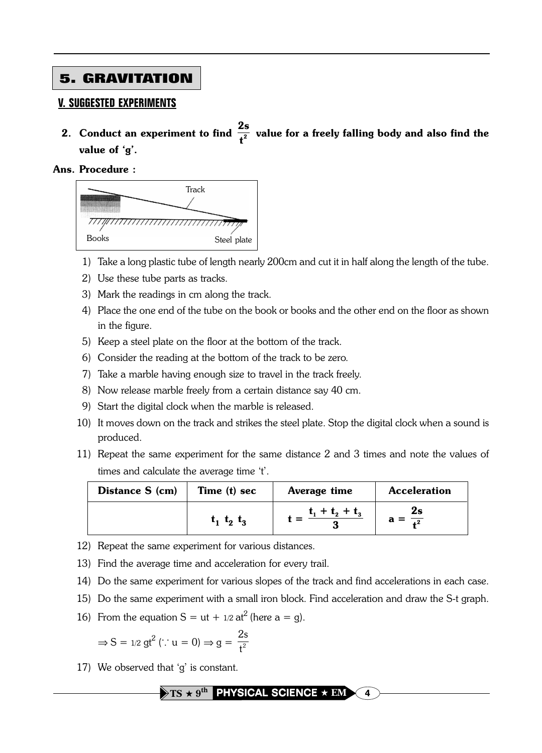## **5. GRAVITATION**

#### **V. SUGGESTED EXPERIMENTS**

2. Conduct an experiment to find 2s  $\frac{1}{1^2}$  value for a freely falling body and also find the value of 'g'.

#### Ans. Procedure :



- 1) Take a long plastic tube of length nearly 200cm and cut it in half along the length of the tube.
- 2) Use these tube parts as tracks.
- 3) Mark the readings in cm along the track.
- 4) Place the one end of the tube on the book or books and the other end on the floor as shown in the figure.
- 5) Keep a steel plate on the floor at the bottom of the track.
- 6) Consider the reading at the bottom of the track to be zero.
- 7) Take a marble having enough size to travel in the track freely.
- 8) Now release marble freely from a certain distance say 40 cm.
- 9) Start the digital clock when the marble is released.
- 10) It moves down on the track and strikes the steel plate. Stop the digital clock when a sound is produced.
- 11) Repeat the same experiment for the same distance 2 and 3 times and note the values of times and calculate the average time 't'.

| Distance S (cm) | Time (t) sec      | Average time      | <b>Acceleration</b> |
|-----------------|-------------------|-------------------|---------------------|
|                 | $t_1$ $t_2$ $t_3$ | $t_1 + t_2 + t_3$ | 2s                  |

- 12) Repeat the same experiment for various distances.
- 13) Find the average time and acceleration for every trail.
- 14) Do the same experiment for various slopes of the track and find accelerations in each case.
- 15) Do the same experiment with a small iron block. Find acceleration and draw the S-t graph.

16) From the equation 
$$
S = ut + 1/2 at^2
$$
 (here  $a = g$ ).

$$
\Rightarrow S = 1/2 \text{gt}^2 \ (\because u = 0) \Rightarrow g = \frac{2s}{t^2}
$$

17) We observed that 'g' is constant.

 $\rightarrow$  TS  $\star$  9<sup>th</sup> PHYSICAL SCIENCE  $\star$  EM  $\sim$  4